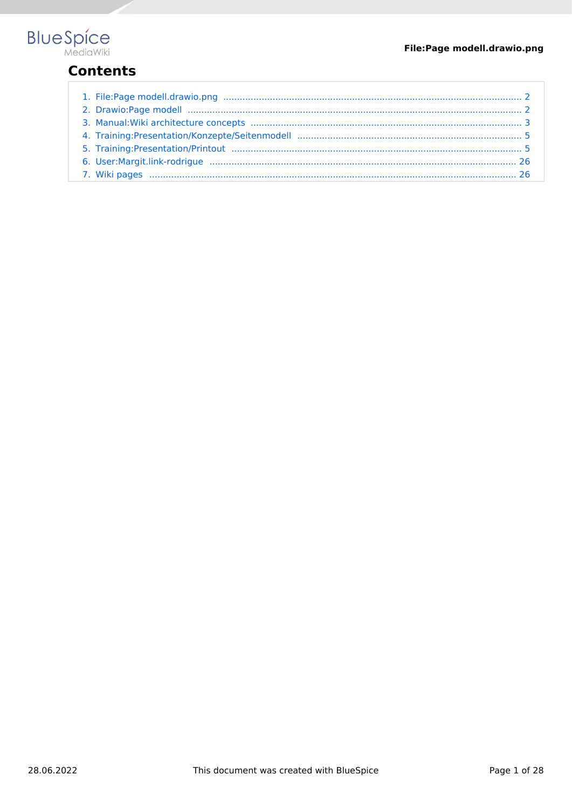

## **Contents**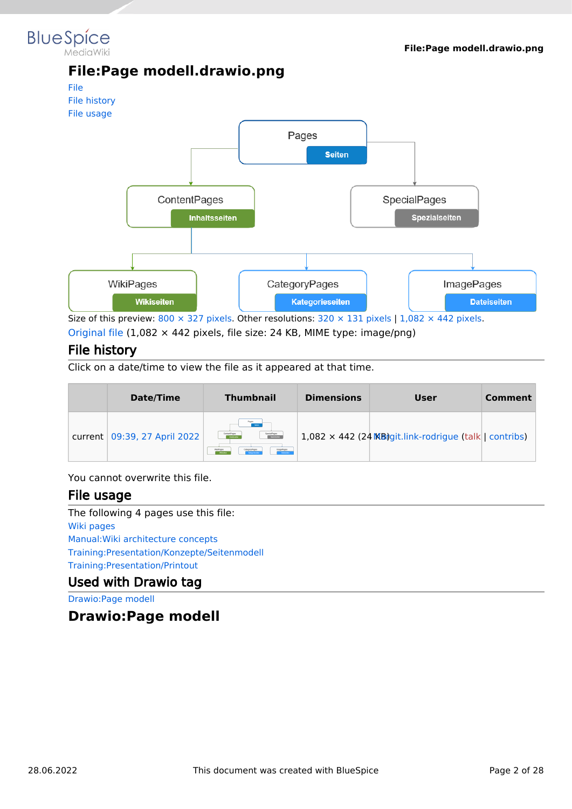#### <span id="page-1-0"></span>**BlueSpice** MediaWiki

#### **File:Page modell.drawio.png**

<span id="page-1-2"></span>

[Original file](#page-1-0) (1,082 × 442 pixels, file size: 24 KB, MIME type: image/png)

#### <span id="page-1-3"></span>File history

Click on a date/time to view the file as it appeared at that time.

| Date/Time                      | <b>Thumbnail</b>                                                                                                                    | <b>Dimensions</b> | User                                                           | Comment |
|--------------------------------|-------------------------------------------------------------------------------------------------------------------------------------|-------------------|----------------------------------------------------------------|---------|
| current   09:39, 27 April 2022 | Pages<br>SpecialPages<br>ContentPages<br>Socialistes<br><b>Steathers</b><br>InagePages<br>CategoryPages<br>WillPages<br>Detectories |                   | $1,082 \times 442$ (24 MB) git.link-rodrigue (talk   contribs) |         |

You cannot overwrite this file.

#### <span id="page-1-4"></span>File usage

The following 4 pages use this file: [Wiki pages](#page-25-1) [Manual:Wiki architecture concepts](#page-2-0) [Training:Presentation/Konzepte/Seitenmodell](#page-4-0) [Training:Presentation/Printout](#page-4-1)

#### Used with Drawio tag

[Drawio:Page modell](#page-1-1)

<span id="page-1-1"></span>**Drawio:Page modell**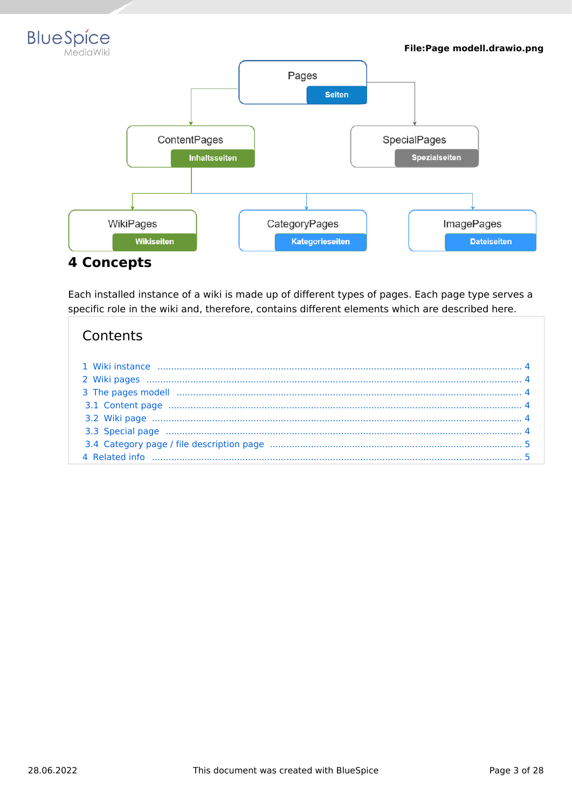



<span id="page-2-0"></span>Each installed instance of a wiki is made up of different types of pages. Each page type serves a specific role in the wiki and, therefore, contains different elements which are described here.

#### Contents

| 3.3 Special page manufactured and the contract of the contract of the contract of the contract of the contract of the contract of the contract of the contract of the contract of the contract of the contract of the contract |  |
|--------------------------------------------------------------------------------------------------------------------------------------------------------------------------------------------------------------------------------|--|
|                                                                                                                                                                                                                                |  |
|                                                                                                                                                                                                                                |  |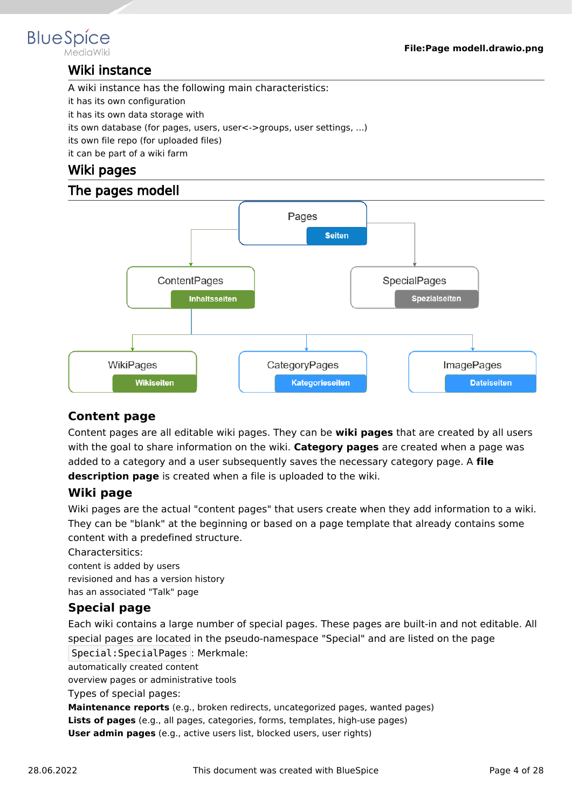<span id="page-3-0"></span>

#### Wiki instance

A wiki instance has the following main characteristics:

it has its own configuration

it has its own data storage with

its own database (for pages, users, user<->groups, user settings, ...)

its own file repo (for uploaded files)

it can be part of a wiki farm

#### <span id="page-3-1"></span>Wiki pages

#### The pages modell

<span id="page-3-2"></span>

#### <span id="page-3-3"></span>**Content page**

Content pages are all editable wiki pages. They can be **wiki pages** that are created by all users with the goal to share information on the wiki. **Category pages** are created when a page was added to a category and a user subsequently saves the necessary category page. A **file description page** is created when a file is uploaded to the wiki.

#### <span id="page-3-4"></span>**Wiki page**

Wiki pages are the actual "content pages" that users create when they add information to a wiki. They can be "blank" at the beginning or based on a page template that already contains some content with a predefined structure.

Charactersitics:

content is added by users

revisioned and has a version history

has an associated "Talk" page

#### <span id="page-3-5"></span>**Special page**

Each wiki contains a large number of special pages. These pages are built-in and not editable. All special pages are located in the pseudo-namespace "Special" and are listed on the page Special:SpecialPages : Merkmale:

automatically created content

overview pages or administrative tools

Types of special pages:

**Maintenance reports** (e.g., broken redirects, uncategorized pages, wanted pages)

**Lists of pages** (e.g., all pages, categories, forms, templates, high-use pages)

**User admin pages** (e.g., active users list, blocked users, user rights)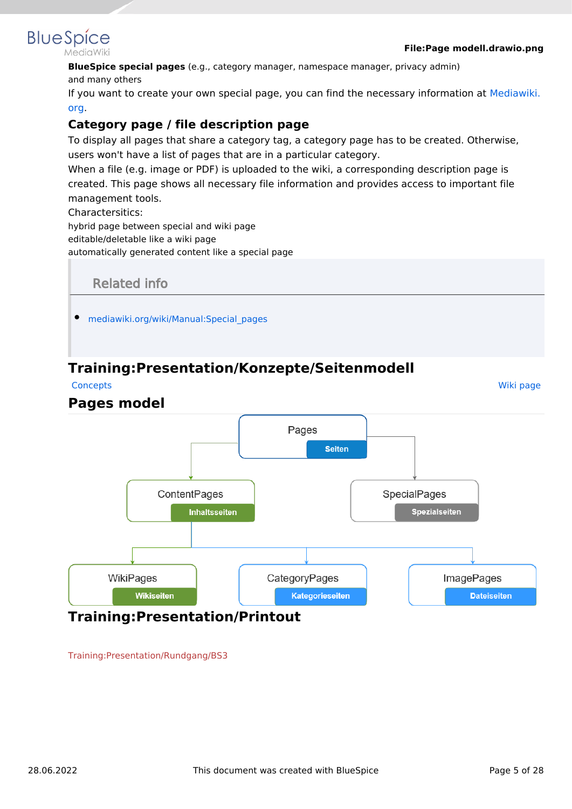

**BlueSpice special pages** (e.g., category manager, namespace manager, privacy admin) and many others

If you want to create your own special page, you can find the necessary information at [Mediawiki.](https://www.mediawiki.org/wiki/Manual:Special_pages) [org](https://www.mediawiki.org/wiki/Manual:Special_pages).

#### <span id="page-4-2"></span>**Category page / file description page**

To display all pages that share a category tag, a category page has to be created. Otherwise, users won't have a list of pages that are in a particular category.

When a file (e.g. image or PDF) is uploaded to the wiki, a corresponding description page is created. This page shows all necessary file information and provides access to important file management tools.

Charactersitics:

hybrid page between special and wiki page

editable/deletable like a wiki page

automatically generated content like a special page

<span id="page-4-3"></span>

## <span id="page-4-0"></span>**Training:Presentation/Konzepte/Seitenmodell**

**[Concepts](https://en.wiki.bluespice.com/wiki/Training:Presentation/Konzepte)** 

#### **Pages model**



<span id="page-4-1"></span>[Training:Presentation/Rundgang/BS3](https://en.wiki.bluespice.com/w/index.php?title=Training:Presentation/Rundgang/BS3&action=view)

[Wiki page](https://en.wiki.bluespice.com/wiki/Training:Presentation/Konzepte/Seitenmodell/Wikiseite)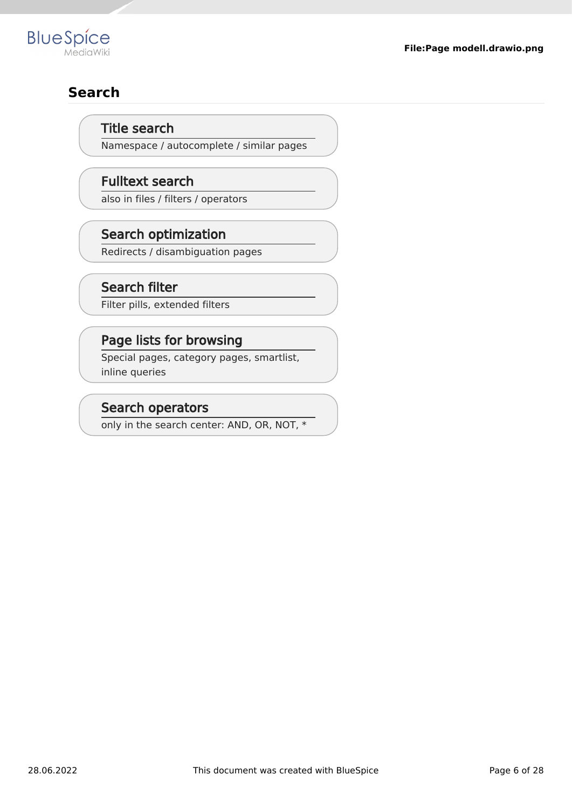

# **Search**

#### Title search

Namespace / autocomplete / similar pages

#### Fulltext search

also in files / filters / operators

## Search optimization

Redirects / disambiguation pages

#### Search filter

Filter pills, extended filters

#### Page lists for browsing

Special pages, category pages, smartlist, inline queries

#### Search operators

only in the search center: AND, OR, NOT, \*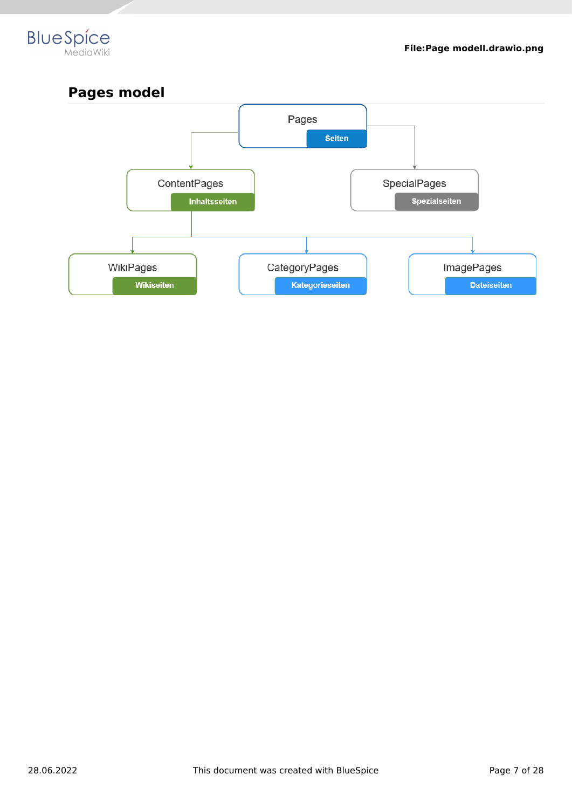



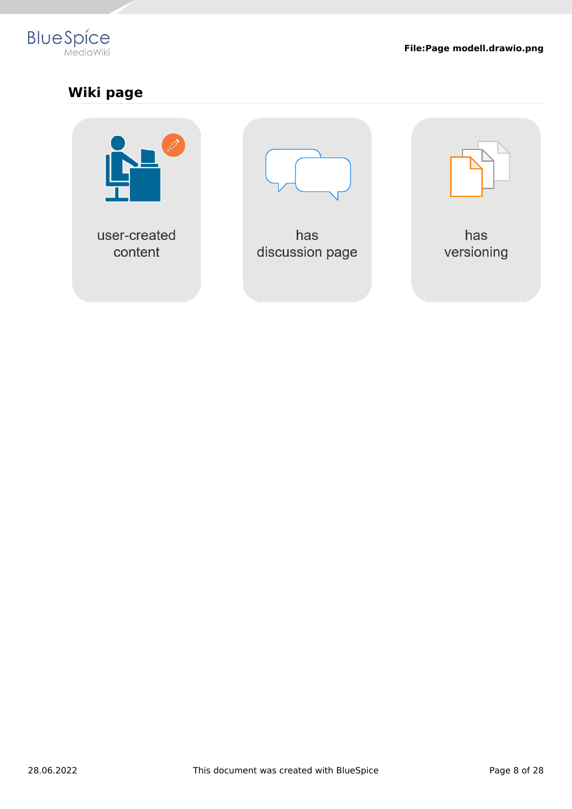

# **Wiki page**

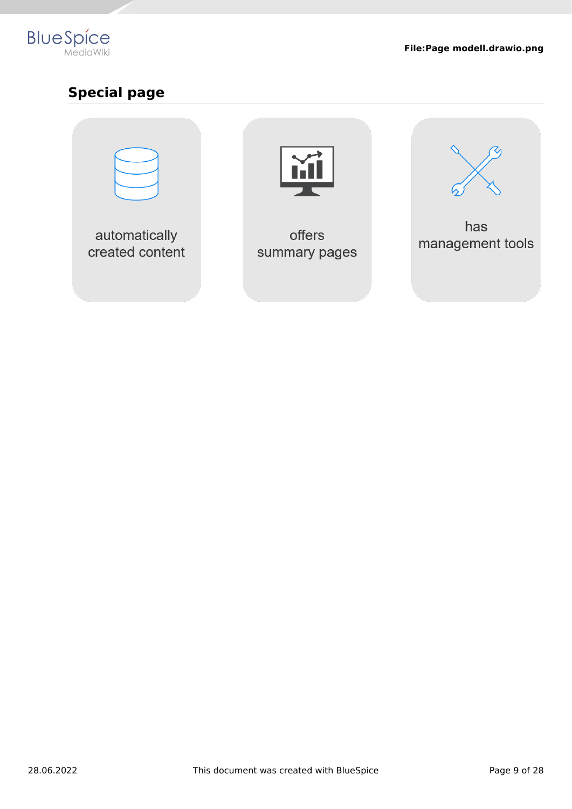

# **Special page**

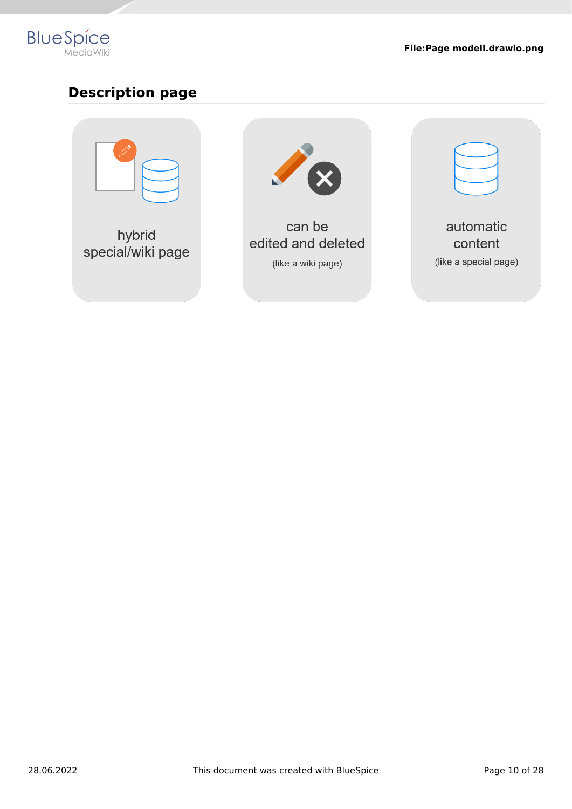

# **Description page**



hybrid special/wiki page



can be edited and deleted (like a wiki page)

automatic content (like a special page)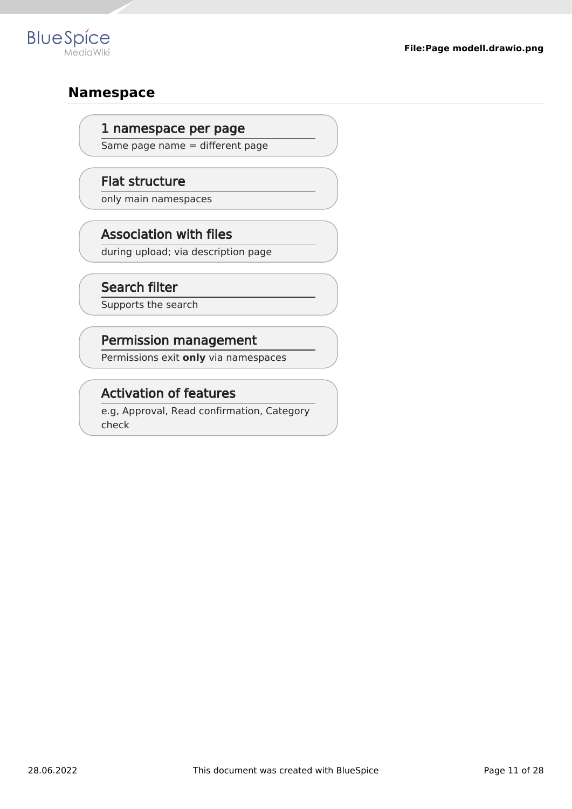

## **Namespace**

#### 1 namespace per page

Same page name = different page

#### Flat structure

only main namespaces

## Association with files

during upload; via description page

## Search filter

Supports the search

## Permission management

Permissions exit **only** via namespaces

## Activation of features

e.g, Approval, Read confirmation, Category check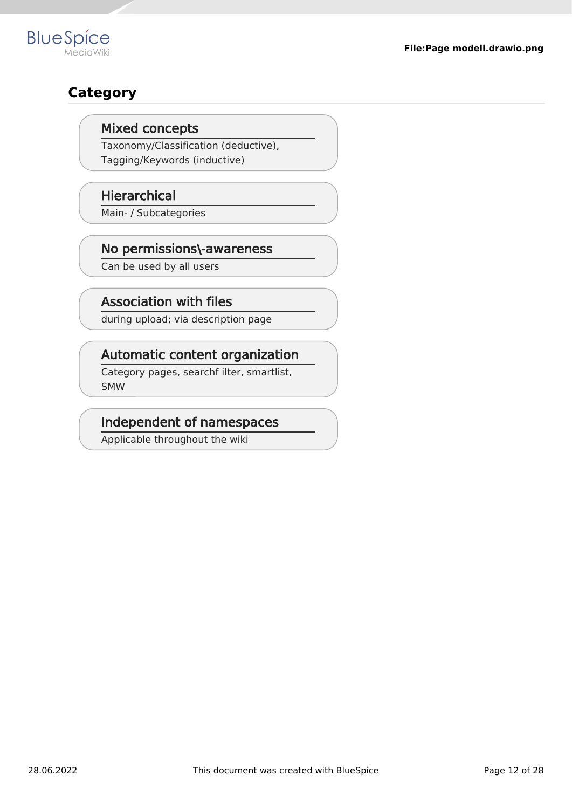# **Category**

**BlueSpice** 

#### Mixed concepts

Taxonomy/Classification (deductive), Tagging/Keywords (inductive)

#### **Hierarchical**

Main- / Subcategories

## No permissions\-awareness

Can be used by all users

## Association with files

during upload; via description page

#### Automatic content organization

Category pages, searchf ilter, smartlist, SMW

#### Independent of namespaces

Applicable throughout the wiki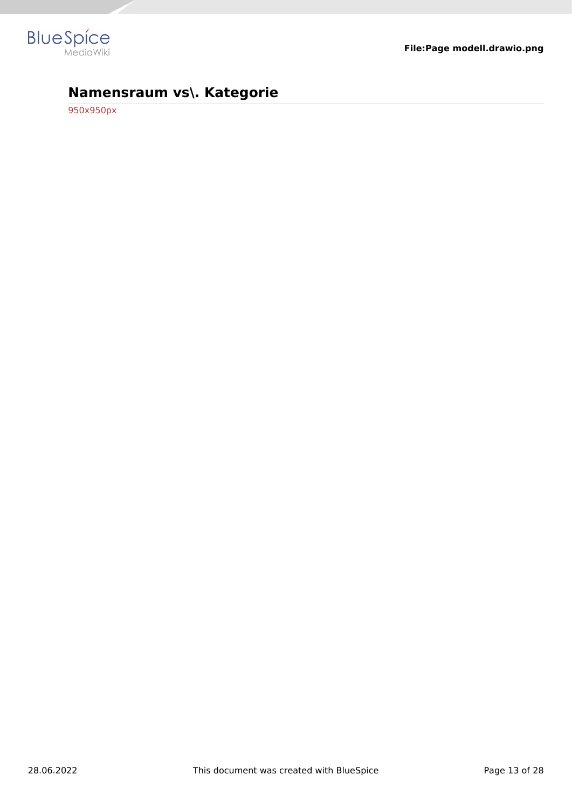

# **Namensraum vs\. Kategorie**

[950x950px](https://en.wiki.bluespice.com/w/index.php?title=Datei:Inhaltsorganisation.drawio.png&action=view)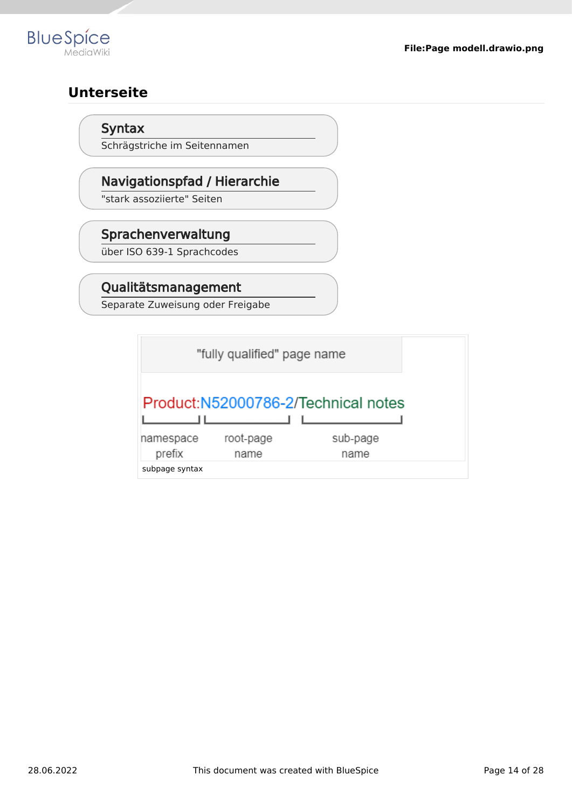

# **Unterseite**

#### Syntax

Schrägstriche im Seitennamen

## Navigationspfad / Hierarchie

"stark assoziierte" Seiten

## Sprachenverwaltung

über ISO 639-1 Sprachcodes

## Qualitätsmanagement

Separate Zuweisung oder Freigabe

|           | "fully qualified" page name |                                     |
|-----------|-----------------------------|-------------------------------------|
|           |                             | Product:N52000786-2/Technical notes |
| namespace | root-page                   | sub-page                            |
| prefix    | name                        | name                                |
|           |                             |                                     |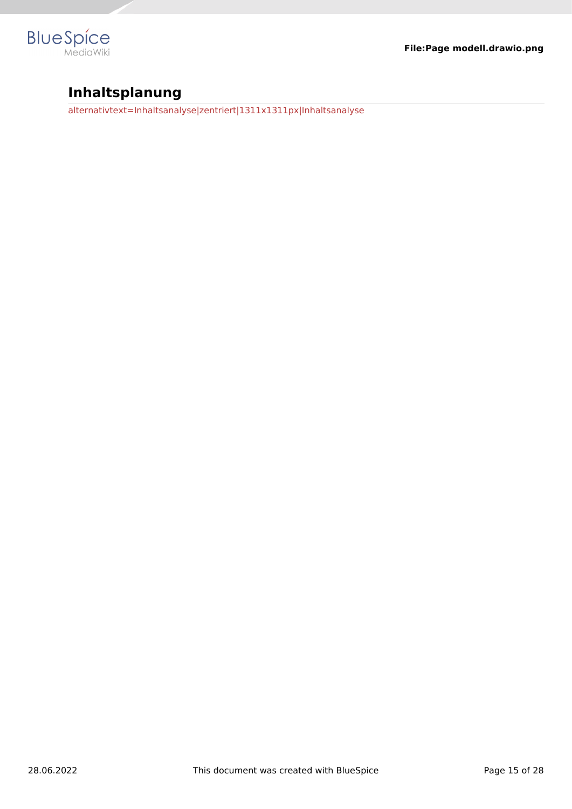

# **Inhaltsplanung**

[alternativtext=Inhaltsanalyse|zentriert|1311x1311px|Inhaltsanalyse](https://en.wiki.bluespice.com/w/index.php?title=Datei:Inhaltsmapping.drawio.png&action=view)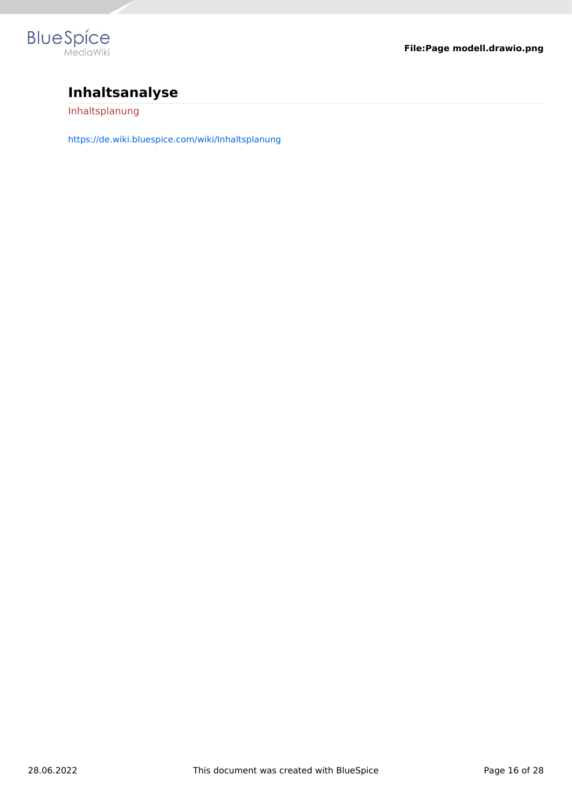

# **Inhaltsanalyse**

[Inhaltsplanung](https://en.wiki.bluespice.com/w/index.php?title=Inhaltsplanung&action=view)

<https://de.wiki.bluespice.com/wiki/Inhaltsplanung>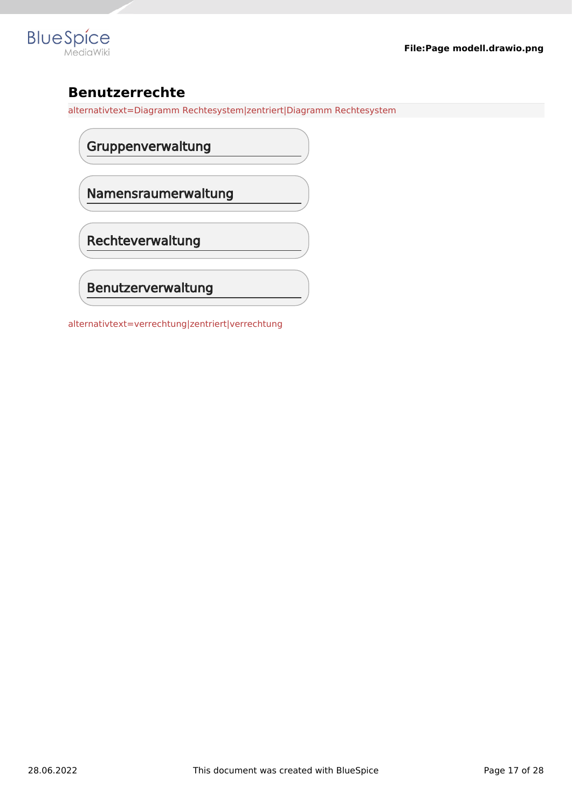

# **Benutzerrechte**

[alternativtext=Diagramm Rechtesystem|zentriert|Diagramm Rechtesystem](https://en.wiki.bluespice.com/w/index.php?title=Datei:Rechtesystem-1.drawio.png&action=view)

Gruppenverwaltung

Namensraumerwaltung

Rechteverwaltung

Benutzerverwaltung

[alternativtext=verrechtung|zentriert|verrechtung](https://en.wiki.bluespice.com/w/index.php?title=Datei:Verrechtung.drawio.png&action=view)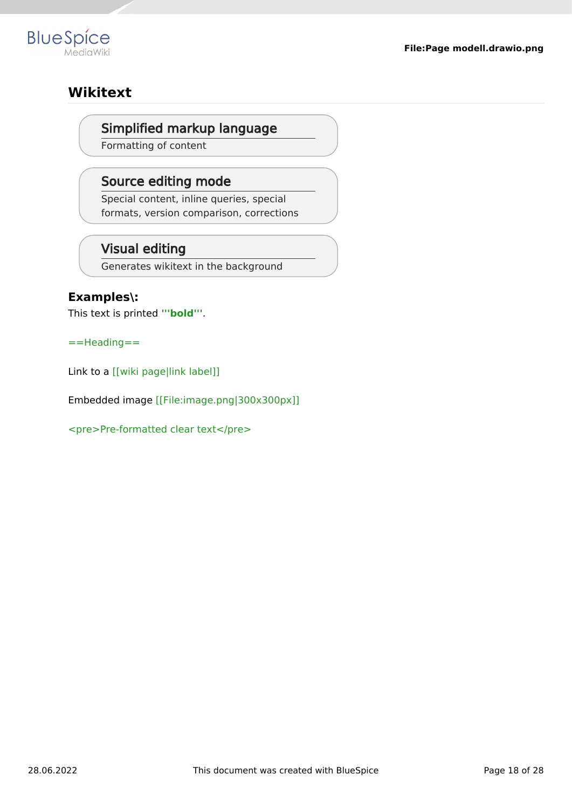

## **Wikitext**

#### Simplified markup language

Formatting of content

#### Source editing mode

Special content, inline queries, special formats, version comparison, corrections

## Visual editing

Generates wikitext in the background

#### **Examples\:**

This text is printed **'''bold'''**.

==Heading==

Link to a [[wiki page|link label]]

Embedded image [[File:image.png|300x300px]]

<pre>Pre-formatted clear text</pre>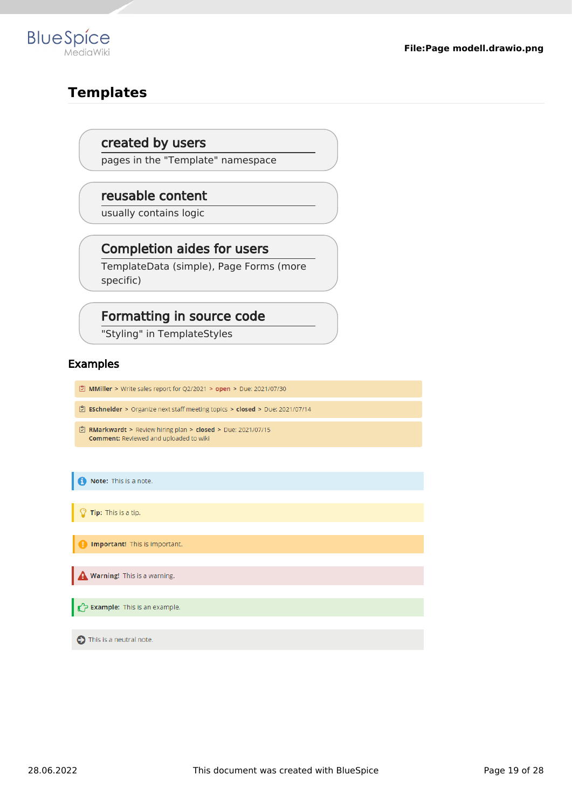

## **Templates**

#### created by users

pages in the "Template" namespace

#### reusable content

usually contains logic

# Completion aides for users

TemplateData (simple), Page Forms (more specific)

#### Formatting in source code

"Styling" in TemplateStyles

#### Examples

- MMiller > Write sales report for Q2/2021 > open > Due: 2021/07/30
- $\vert\vec{\mathbb{C}}\vert$  ESchneider > Organize next staff meeting topics > closed > Due: 2021/07/14
- RMarkwardt > Review hiring plan > closed > Due: 2021/07/15 **Comment: Reviewed and uploaded to wiki**

Note: This is a note.

Tip: This is a tip.

Important! This is important.

Warning! This is a warning.

**Example:** This is an example.

nis is a neutral note.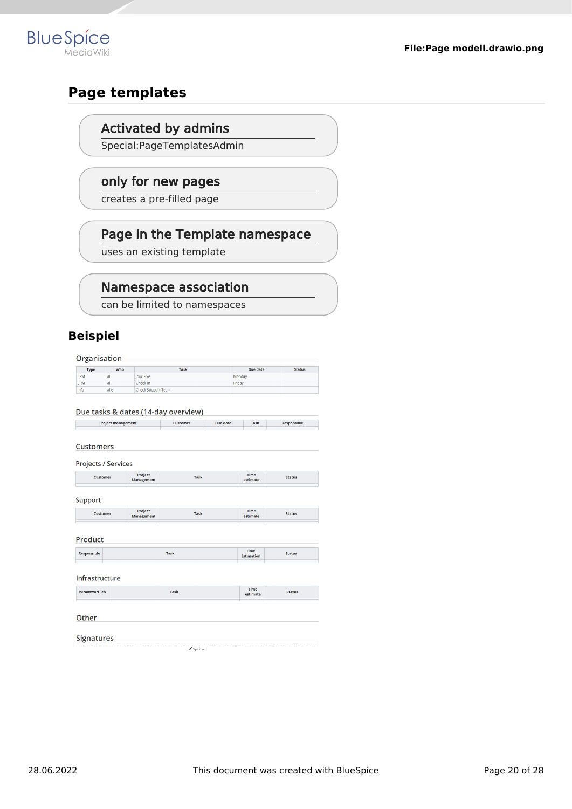

## **Page templates**

**BlueSpice** 

#### Activated by admins

Special:PageTemplatesAdmin

#### only for new pages

creates a pre-filled page

#### Page in the Template namespace

uses an existing template

#### Namespace association

can be limited to namespaces

#### **Beispiel**

Organisation

| <b>Type</b> | Who  | <b>Task</b>        | Due date | <b>Status</b> |
|-------------|------|--------------------|----------|---------------|
| ERM         | all  | lour Fixe          | Monday   |               |
| <b>ERM</b>  | all  | Check-in           | Friday   |               |
| Info        | alle | Check Support-Team |          |               |

|                                      |                       | Due tasks & dates (14-day overview) |                 |                         |                    |
|--------------------------------------|-----------------------|-------------------------------------|-----------------|-------------------------|--------------------|
| <b>Project management</b>            |                       | <b>Customer</b>                     | <b>Due date</b> | <b>Task</b>             | <b>Responsible</b> |
| <b>Customers</b>                     |                       |                                     |                 |                         |                    |
| <b>Projects / Services</b>           |                       |                                     |                 |                         |                    |
| <b>Customer</b>                      | Project<br>Management | <b>Task</b>                         |                 | <b>Time</b><br>estimate | <b>Status</b>      |
| <b>Support</b>                       |                       |                                     |                 |                         |                    |
| <b>Customer</b>                      | Project<br>Management | <b>Task</b>                         |                 | <b>Time</b><br>estimate | <b>Status</b>      |
| <b>Product</b><br><b>Responsible</b> |                       | <b>Task</b>                         |                 | <b>Time</b>             | <b>Status</b>      |
| Infrastructure                       |                       |                                     |                 | <b>Estimation</b>       |                    |
| Verantwortlich                       |                       | <b>Task</b>                         |                 | Time<br>estimate        | <b>Status</b>      |
| Other                                |                       |                                     |                 |                         |                    |
| <b>Signatures</b>                    |                       |                                     |                 |                         |                    |

 $\big/$  Signatures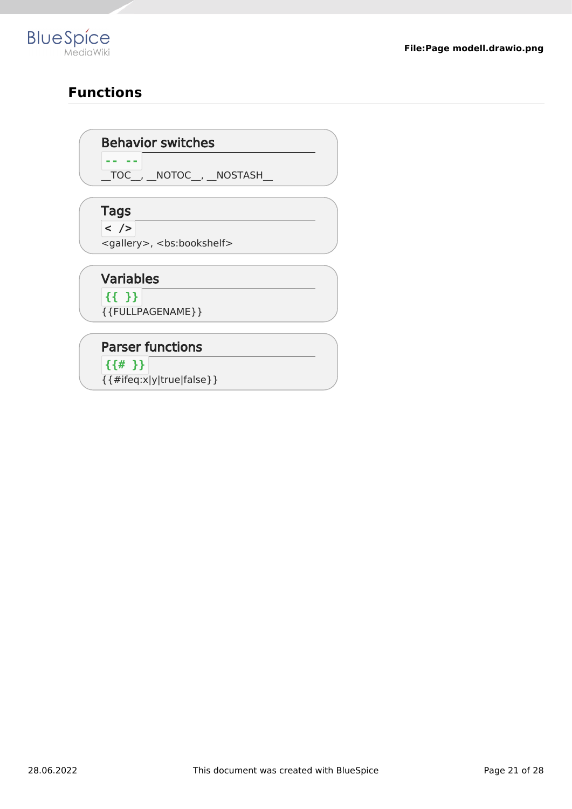

# **Functions**

#### Behavior switches

 $\boxed{\text{TOC}}$ ,  $\boxed{\text{NOTOC}}$ ,  $\boxed{\text{NOSTASH}}$ 

## Tags

**-- --**

 $\sqrt{2}$ 

<gallery>, <bs:bookshelf>

#### Variables

**{{ }}** {{FULLPAGENAME}}

# Parser functions

**{{# }}**

{{#ifeq:x|y|true|false}}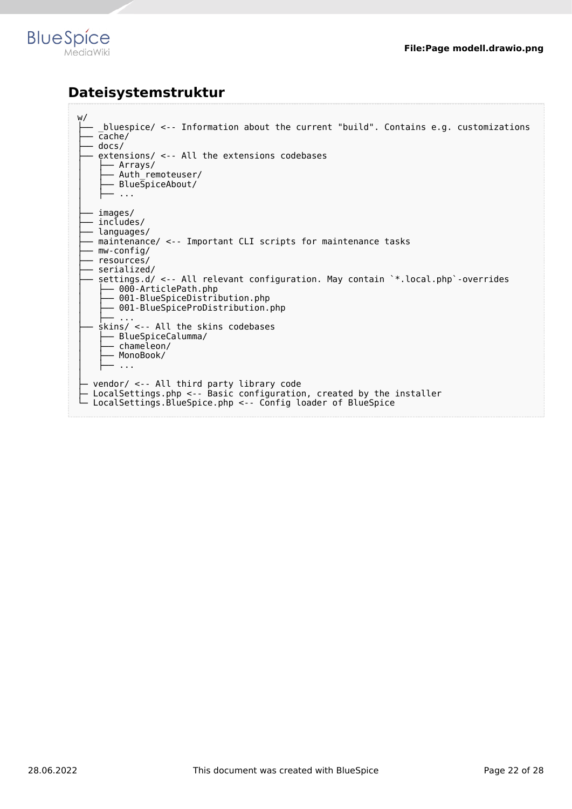

## **Dateisystemstruktur**

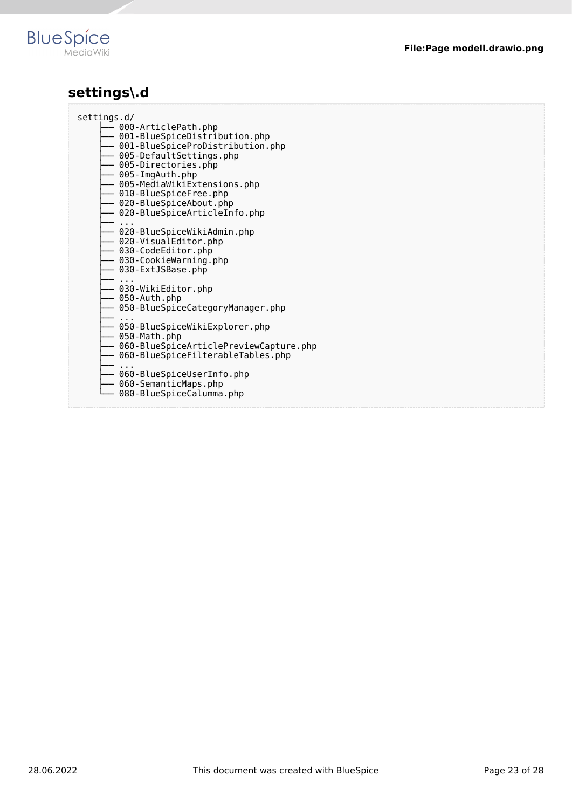

# **settings\.d**

| settings.d/<br>- 000-ArticlePath.php<br>- 001-BlueSpiceDistribution.php<br>- 001-BlueSpiceProDistribution.php<br>- 005-DefaultSettings.php<br>— 005-Directories.php<br>- 005-ImgAuth.php<br>- 005-MediaWikiExtensions.php<br>- 010-BlueSpiceFree.php<br>- 020-BlueSpiceAbout.php<br>- 020-BlueSpiceArticleInfo.php<br>— 020-BlueSpiceWikiAdmin.php<br>— 020-VisualEditor.php<br>- 030-CodeEditor.php<br>- 030-CookieWarning.php<br>- 030-ExtJSBase.php<br>- 030-WikiEditor.php<br>- 050-Auth.php |
|--------------------------------------------------------------------------------------------------------------------------------------------------------------------------------------------------------------------------------------------------------------------------------------------------------------------------------------------------------------------------------------------------------------------------------------------------------------------------------------------------|
|                                                                                                                                                                                                                                                                                                                                                                                                                                                                                                  |
|                                                                                                                                                                                                                                                                                                                                                                                                                                                                                                  |
|                                                                                                                                                                                                                                                                                                                                                                                                                                                                                                  |
|                                                                                                                                                                                                                                                                                                                                                                                                                                                                                                  |
|                                                                                                                                                                                                                                                                                                                                                                                                                                                                                                  |
|                                                                                                                                                                                                                                                                                                                                                                                                                                                                                                  |
|                                                                                                                                                                                                                                                                                                                                                                                                                                                                                                  |
|                                                                                                                                                                                                                                                                                                                                                                                                                                                                                                  |
|                                                                                                                                                                                                                                                                                                                                                                                                                                                                                                  |
|                                                                                                                                                                                                                                                                                                                                                                                                                                                                                                  |
|                                                                                                                                                                                                                                                                                                                                                                                                                                                                                                  |
|                                                                                                                                                                                                                                                                                                                                                                                                                                                                                                  |
|                                                                                                                                                                                                                                                                                                                                                                                                                                                                                                  |
|                                                                                                                                                                                                                                                                                                                                                                                                                                                                                                  |
|                                                                                                                                                                                                                                                                                                                                                                                                                                                                                                  |
|                                                                                                                                                                                                                                                                                                                                                                                                                                                                                                  |
| - 050-BlueSpiceCategoryManager.php                                                                                                                                                                                                                                                                                                                                                                                                                                                               |
|                                                                                                                                                                                                                                                                                                                                                                                                                                                                                                  |
| —<br>— 050-BlueSpiceWikiExplorer.php<br>- 050-Math.php                                                                                                                                                                                                                                                                                                                                                                                                                                           |
| — 060-BlueSpiceArticlePreviewCapture.php                                                                                                                                                                                                                                                                                                                                                                                                                                                         |
| - 060-BlueSpiceFilterableTables.php                                                                                                                                                                                                                                                                                                                                                                                                                                                              |
|                                                                                                                                                                                                                                                                                                                                                                                                                                                                                                  |
| —<br>— 060-BlueSpiceUserInfo.php                                                                                                                                                                                                                                                                                                                                                                                                                                                                 |
| - 060-SemanticMaps.php                                                                                                                                                                                                                                                                                                                                                                                                                                                                           |
| 080-BlueSpiceCalumma.php                                                                                                                                                                                                                                                                                                                                                                                                                                                                         |
|                                                                                                                                                                                                                                                                                                                                                                                                                                                                                                  |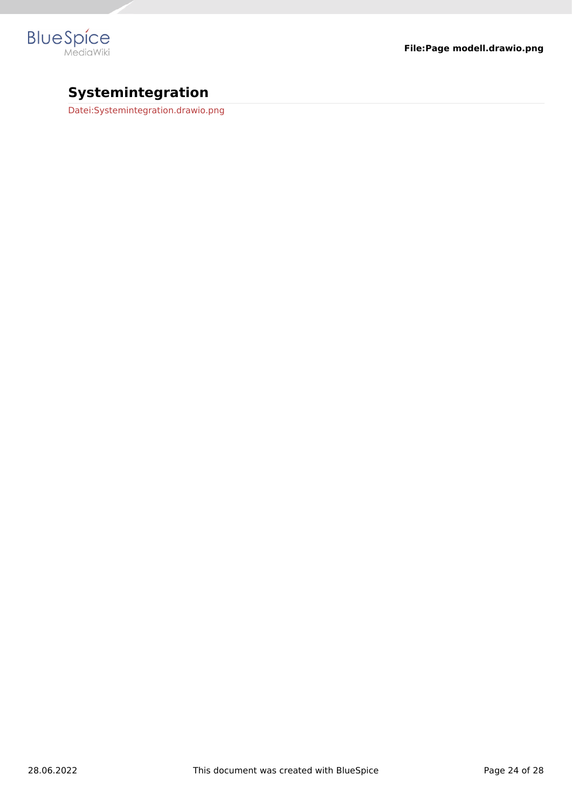

# **Systemintegration**

[Datei:Systemintegration.drawio.png](https://en.wiki.bluespice.com/w/index.php?title=Datei:Systemintegration.drawio.png&action=view)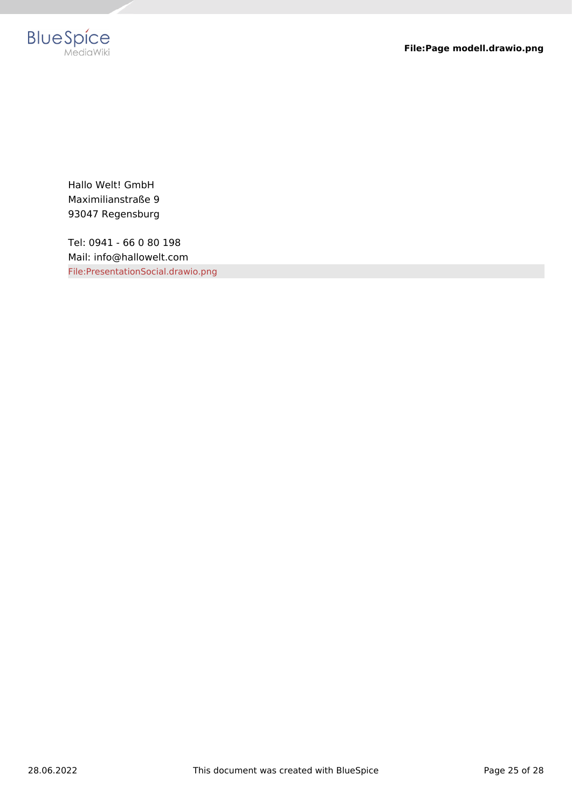

Hallo Welt! GmbH Maximilianstraße 9 93047 Regensburg

Tel: 0941 - 66 0 80 198 Mail: info@hallowelt.com [File:PresentationSocial.drawio.png](https://en.wiki.bluespice.com/w/index.php?title=Special:Upload&wpDestFile=PresentationSocial.drawio.png)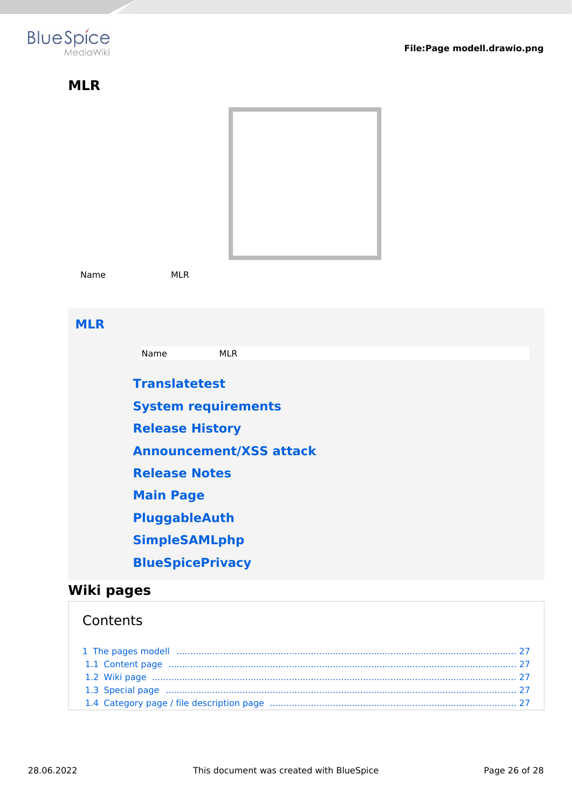<span id="page-25-0"></span>

| <b>MLR</b> |                                |  |  |  |  |  |
|------------|--------------------------------|--|--|--|--|--|
|            |                                |  |  |  |  |  |
| Name       | <b>MLR</b>                     |  |  |  |  |  |
| <b>MLR</b> |                                |  |  |  |  |  |
|            | <b>MLR</b><br>Name             |  |  |  |  |  |
|            | <b>Translatetest</b>           |  |  |  |  |  |
|            | <b>System requirements</b>     |  |  |  |  |  |
|            | <b>Release History</b>         |  |  |  |  |  |
|            | <b>Announcement/XSS attack</b> |  |  |  |  |  |
|            | <b>Release Notes</b>           |  |  |  |  |  |
|            | <b>Main Page</b>               |  |  |  |  |  |
|            | PluggableAuth                  |  |  |  |  |  |
|            | <b>SimpleSAMLphp</b>           |  |  |  |  |  |
|            | <b>BlueSpicePrivacy</b>        |  |  |  |  |  |
| Wiki pages |                                |  |  |  |  |  |

# <span id="page-25-1"></span>**Contents**

| 1 The pages modell manufactured and an anti-manufactured and an analysis of the pages modell manufactured and $27$                                                                                                            |  |
|-------------------------------------------------------------------------------------------------------------------------------------------------------------------------------------------------------------------------------|--|
|                                                                                                                                                                                                                               |  |
|                                                                                                                                                                                                                               |  |
| 1.3 Special page manufactured and contact the control of the control of the control of the control of the control of the control of the control of the control of the control of the control of the control of the control of |  |
|                                                                                                                                                                                                                               |  |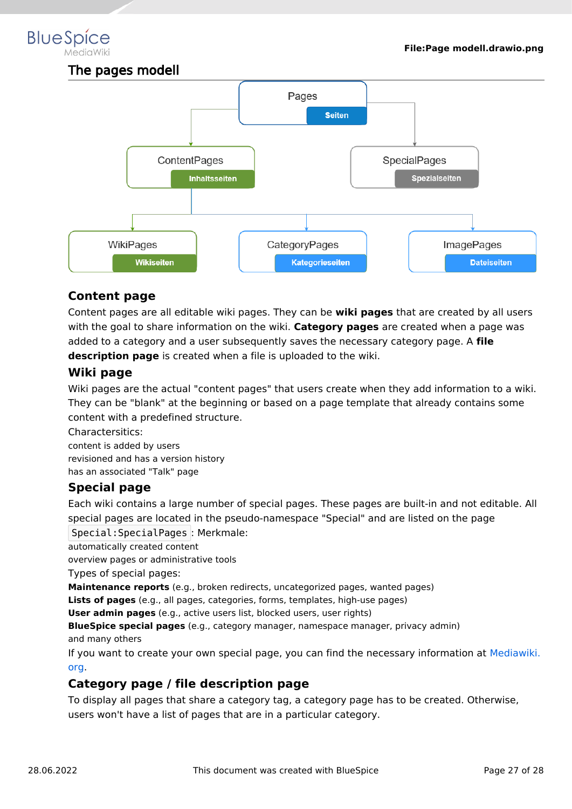# <span id="page-26-0"></span>**BlueSpice**

The pages modell



#### <span id="page-26-1"></span>**Content page**

Content pages are all editable wiki pages. They can be **wiki pages** that are created by all users with the goal to share information on the wiki. **Category pages** are created when a page was added to a category and a user subsequently saves the necessary category page. A **file description page** is created when a file is uploaded to the wiki.

#### <span id="page-26-2"></span>**Wiki page**

Wiki pages are the actual "content pages" that users create when they add information to a wiki. They can be "blank" at the beginning or based on a page template that already contains some content with a predefined structure.

Charactersitics: content is added by users revisioned and has a version history has an associated "Talk" page

#### <span id="page-26-3"></span>**Special page**

Each wiki contains a large number of special pages. These pages are built-in and not editable. All special pages are located in the pseudo-namespace "Special" and are listed on the page Special:SpecialPages : Merkmale:

automatically created content

overview pages or administrative tools

Types of special pages:

**Maintenance reports** (e.g., broken redirects, uncategorized pages, wanted pages)

**Lists of pages** (e.g., all pages, categories, forms, templates, high-use pages)

**User admin pages** (e.g., active users list, blocked users, user rights)

**BlueSpice special pages** (e.g., category manager, namespace manager, privacy admin) and many others

If you want to create your own special page, you can find the necessary information at [Mediawiki.](https://www.mediawiki.org/wiki/Manual:Special_pages) [org](https://www.mediawiki.org/wiki/Manual:Special_pages).

#### <span id="page-26-4"></span>**Category page / file description page**

To display all pages that share a category tag, a category page has to be created. Otherwise, users won't have a list of pages that are in a particular category.